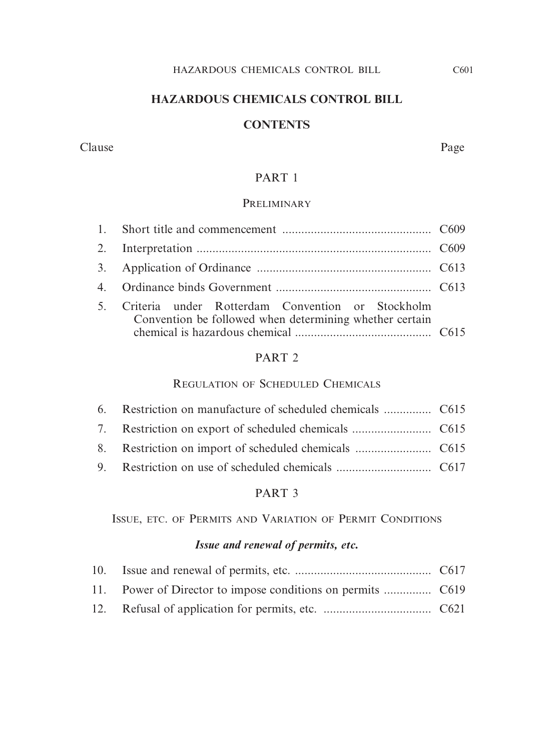# **HAZARDOUS CHEMICALS CONTROL BILL**

#### **CONTENTS**

#### Clause Page

# PART 1

#### **PRELIMINARY**

| 5. Criteria under Rotterdam Convention or Stockholm<br>Convention be followed when determining whether certain |  |  |  |
|----------------------------------------------------------------------------------------------------------------|--|--|--|

#### PART 2

#### REGULATION OF SCHEDULED CHEMICALS

# PART 3

ISSUE, ETC. OF PERMITS AND VARIATION OF PERMIT CONDITIONS

# *Issue and renewal of permits, etc.*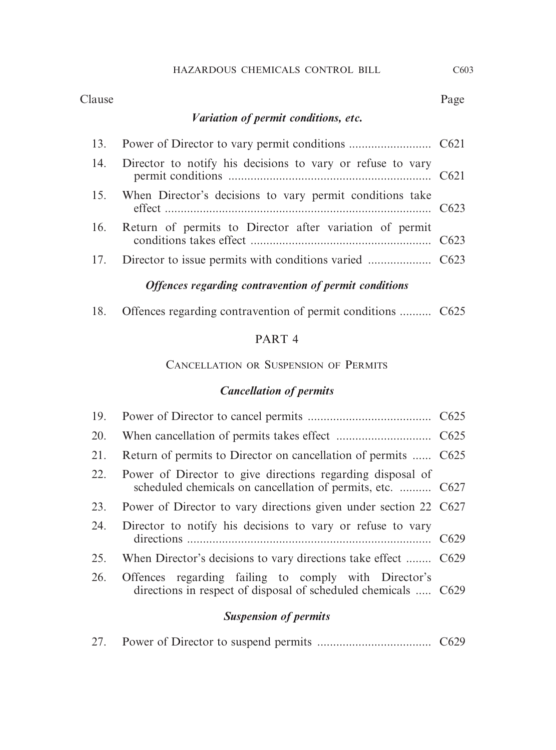#### Clause Page

# *Variation of permit conditions, etc.*

| 14. Director to notify his decisions to vary or refuse to vary |  |
|----------------------------------------------------------------|--|
| 15. When Director's decisions to vary permit conditions take   |  |
| 16. Return of permits to Director after variation of permit    |  |
|                                                                |  |

# *Offences regarding contravention of permit conditions*

| 18. |  |  | Offences regarding contravention of permit conditions  C625 |  |
|-----|--|--|-------------------------------------------------------------|--|
|     |  |  |                                                             |  |

# PART 4

#### CANCELLATION OR SUSPENSION OF PERMITS

# *Cancellation of permits*

| 21. | Return of permits to Director on cancellation of permits  C625                                                               |  |
|-----|------------------------------------------------------------------------------------------------------------------------------|--|
|     | 22. Power of Director to give directions regarding disposal of<br>scheduled chemicals on cancellation of permits, etc.  C627 |  |
|     | 23. Power of Director to vary directions given under section 22 C627                                                         |  |
|     | 24. Director to notify his decisions to vary or refuse to vary                                                               |  |
| 25. | When Director's decisions to vary directions take effect  C629                                                               |  |
| 26. | Offences regarding failing to comply with Director's<br>directions in respect of disposal of scheduled chemicals  C629       |  |

# *Suspension of permits*

|--|--|--|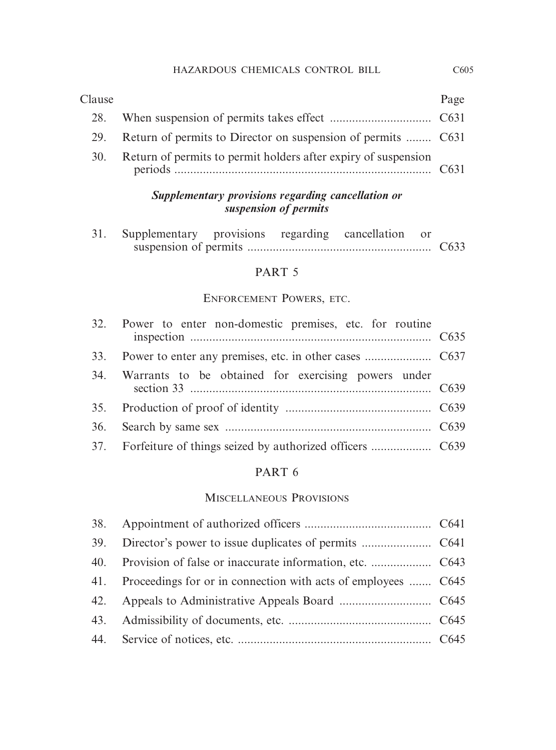# 28. When suspension of permits takes effect ................................ C631 29. Return of permits to Director on suspension of permits ........ C631 30. Return of permits to permit holders after expiry of suspension periods ................................................................................. C631 Clause Page

## *Supplementary provisions regarding cancellation or suspension of permits*

| 31. Supplementary provisions regarding cancellation or |  |  |  |
|--------------------------------------------------------|--|--|--|
|                                                        |  |  |  |

#### PART 5

#### ENFORCEMENT POWERS, ETC.

| 32. Power to enter non-domestic premises, etc. for routine |  |
|------------------------------------------------------------|--|
|                                                            |  |
| 34. Warrants to be obtained for exercising powers under    |  |
|                                                            |  |
|                                                            |  |
|                                                            |  |

## PART 6

#### MISCELLANEOUS PROVISIONS

| 41. Proceedings for or in connection with acts of employees  C645 |  |
|-------------------------------------------------------------------|--|
|                                                                   |  |
|                                                                   |  |
|                                                                   |  |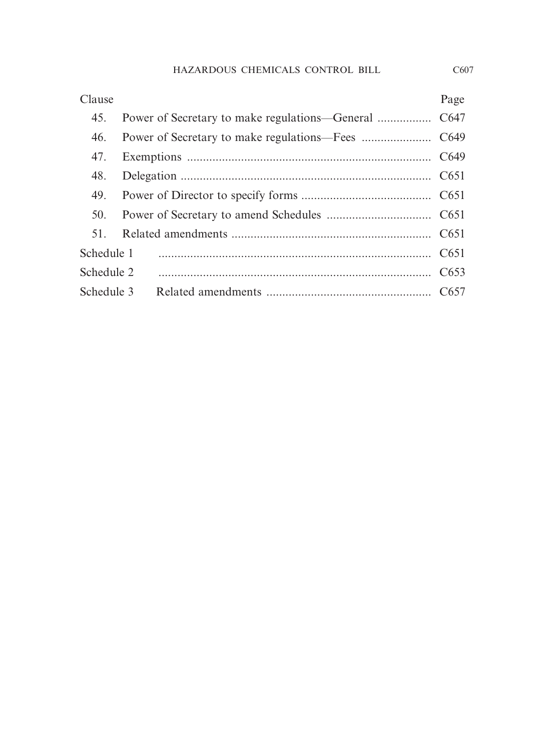| Clause     |  | Page |
|------------|--|------|
| 45.        |  |      |
| 46.        |  |      |
| 47.        |  |      |
| 48.        |  |      |
| 49.        |  |      |
| 50.        |  |      |
| 51.        |  |      |
| Schedule 1 |  |      |
| Schedule 2 |  |      |
|            |  |      |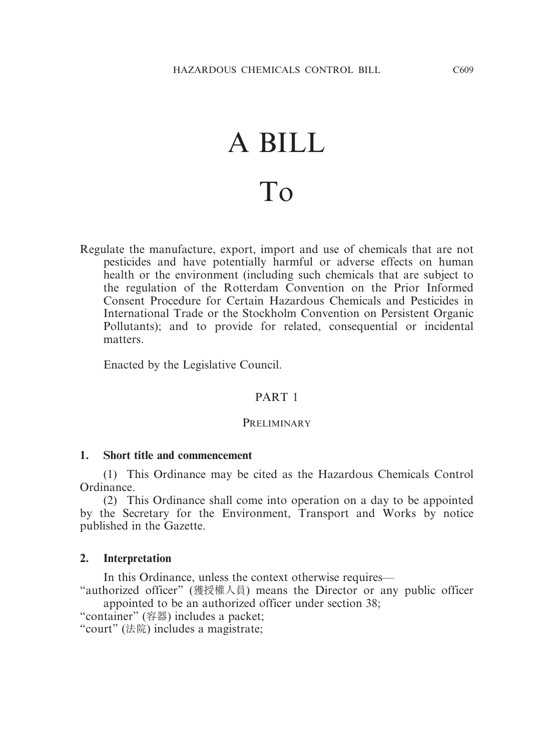# A BILL To

Regulate the manufacture, export, import and use of chemicals that are not pesticides and have potentially harmful or adverse effects on human health or the environment (including such chemicals that are subject to the regulation of the Rotterdam Convention on the Prior Informed Consent Procedure for Certain Hazardous Chemicals and Pesticides in International Trade or the Stockholm Convention on Persistent Organic Pollutants); and to provide for related, consequential or incidental matters.

Enacted by the Legislative Council.

# PART 1

#### PRELIMINARY

#### **1. Short title and commencement**

(1) This Ordinance may be cited as the Hazardous Chemicals Control Ordinance.

(2) This Ordinance shall come into operation on a day to be appointed by the Secretary for the Environment, Transport and Works by notice published in the Gazette.

#### **2. Interpretation**

In this Ordinance, unless the context otherwise requires—

"authorized officer" (獲授權人員) means the Director or any public officer appointed to be an authorized officer under section 38;

"container" (容器) includes a packet;

"court" (法院) includes a magistrate;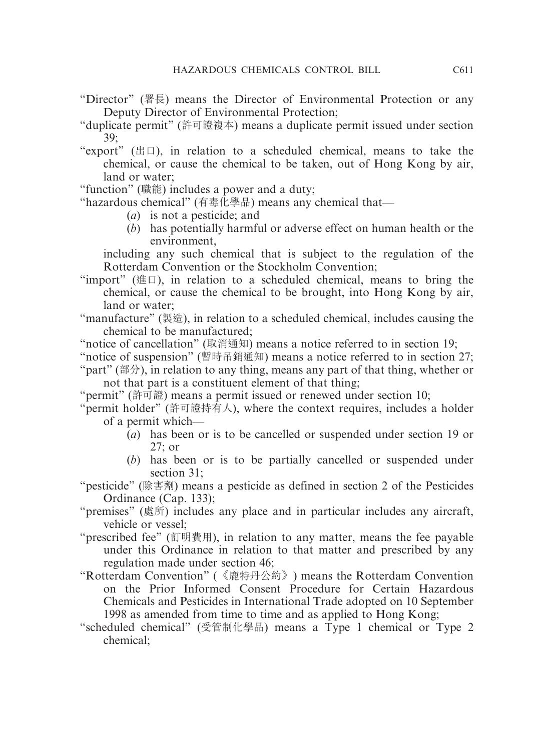- "Director" (署長) means the Director of Environmental Protection or any Deputy Director of Environmental Protection;
- "duplicate permit" (許可證複本) means a duplicate permit issued under section 39;
- "export" ( $\boxplus$  $\Box$ ), in relation to a scheduled chemical, means to take the chemical, or cause the chemical to be taken, out of Hong Kong by air, land or water;
- "function" (職能) includes a power and a duty;

"hazardous chemical" (有毒化學品) means any chemical that—

- (*a*) is not a pesticide; and
- (*b*) has potentially harmful or adverse effect on human health or the environment,

including any such chemical that is subject to the regulation of the Rotterdam Convention or the Stockholm Convention;

"import" ( $\# \Box$ ), in relation to a scheduled chemical, means to bring the chemical, or cause the chemical to be brought, into Hong Kong by air, land or water;

"manufacture" (製造), in relation to a scheduled chemical, includes causing the chemical to be manufactured;

"notice of cancellation" (取消通知) means a notice referred to in section 19;

"notice of suspension" (暫時吊銷通知) means a notice referred to in section 27;

"part" (部分), in relation to any thing, means any part of that thing, whether or not that part is a constituent element of that thing;

"permit" (許可證) means a permit issued or renewed under section 10;

- "permit holder" (許可證持有人), where the context requires, includes a holder of a permit which—
	- (*a*) has been or is to be cancelled or suspended under section 19 or 27; or
	- (*b*) has been or is to be partially cancelled or suspended under section 31;
- "pesticide" (除害劑) means a pesticide as defined in section 2 of the Pesticides Ordinance (Cap. 133);
- "premises" (處所) includes any place and in particular includes any aircraft, vehicle or vessel;
- "prescribed fee" (訂明費用), in relation to any matter, means the fee payable under this Ordinance in relation to that matter and prescribed by any regulation made under section 46;
- "Rotterdam Convention" (《鹿特丹公約》) means the Rotterdam Convention on the Prior Informed Consent Procedure for Certain Hazardous Chemicals and Pesticides in International Trade adopted on 10 September 1998 as amended from time to time and as applied to Hong Kong;
- "scheduled chemical" (受管制化學品) means a Type 1 chemical or Type 2 chemical;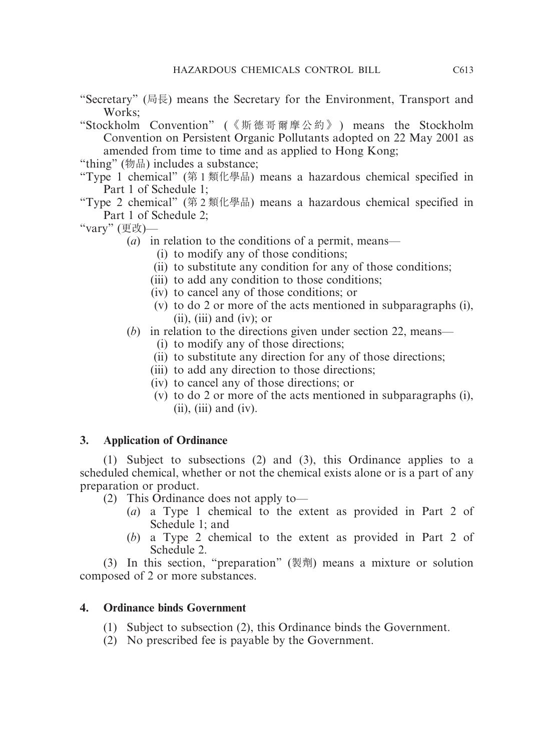- "Secretary" (局長) means the Secretary for the Environment, Transport and Works;
- "Stockholm Convention" (《斯德哥爾摩公約》) means the Stockholm Convention on Persistent Organic Pollutants adopted on 22 May 2001 as amended from time to time and as applied to Hong Kong;
- "thing" (物品) includes a substance;
- "Type 1 chemical" (第 1 類化學品) means a hazardous chemical specified in Part 1 of Schedule 1;
- "Type 2 chemical" (第 2 類化學品) means a hazardous chemical specified in Part 1 of Schedule 2;
- "vary" (更改)—

(*a*) in relation to the conditions of a permit, means—

- (i) to modify any of those conditions;
- (ii) to substitute any condition for any of those conditions;
- (iii) to add any condition to those conditions;
- (iv) to cancel any of those conditions; or
- (v) to do 2 or more of the acts mentioned in subparagraphs (i),  $(ii)$ ,  $(iii)$  and  $(iv)$ ; or

# (*b*) in relation to the directions given under section 22, means—

- (i) to modify any of those directions;
- (ii) to substitute any direction for any of those directions;
- (iii) to add any direction to those directions;
- (iv) to cancel any of those directions; or
- (v) to do 2 or more of the acts mentioned in subparagraphs (i),  $(ii)$ ,  $(iii)$  and  $(iv)$ .

# **3. Application of Ordinance**

(1) Subject to subsections (2) and (3), this Ordinance applies to a scheduled chemical, whether or not the chemical exists alone or is a part of any preparation or product.

- (2) This Ordinance does not apply to—
	- (*a*) a Type 1 chemical to the extent as provided in Part 2 of Schedule 1; and
	- (*b*) a Type 2 chemical to the extent as provided in Part 2 of Schedule 2.

(3) In this section, "preparation" (製劑) means a mixture or solution composed of 2 or more substances.

# **4. Ordinance binds Government**

- (1) Subject to subsection (2), this Ordinance binds the Government.
- (2) No prescribed fee is payable by the Government.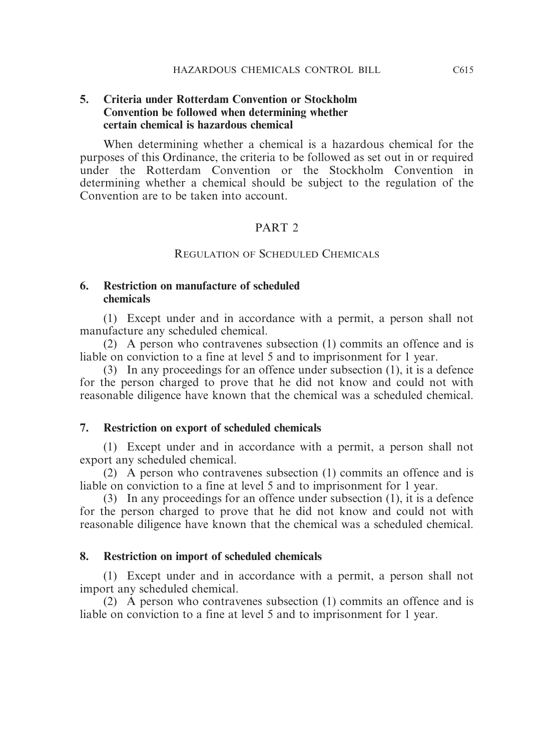#### **5. Criteria under Rotterdam Convention or Stockholm Convention be followed when determining whether certain chemical is hazardous chemical**

When determining whether a chemical is a hazardous chemical for the purposes of this Ordinance, the criteria to be followed as set out in or required under the Rotterdam Convention or the Stockholm Convention in determining whether a chemical should be subject to the regulation of the Convention are to be taken into account.

#### PART<sub>2</sub>

#### REGULATION OF SCHEDULED CHEMICALS

#### **6. Restriction on manufacture of scheduled chemicals**

(1) Except under and in accordance with a permit, a person shall not manufacture any scheduled chemical.

(2) A person who contravenes subsection (1) commits an offence and is liable on conviction to a fine at level 5 and to imprisonment for 1 year.

(3) In any proceedings for an offence under subsection (1), it is a defence for the person charged to prove that he did not know and could not with reasonable diligence have known that the chemical was a scheduled chemical.

#### **7. Restriction on export of scheduled chemicals**

(1) Except under and in accordance with a permit, a person shall not export any scheduled chemical.

(2) A person who contravenes subsection (1) commits an offence and is liable on conviction to a fine at level 5 and to imprisonment for 1 year.

(3) In any proceedings for an offence under subsection (1), it is a defence for the person charged to prove that he did not know and could not with reasonable diligence have known that the chemical was a scheduled chemical.

#### **8. Restriction on import of scheduled chemicals**

(1) Except under and in accordance with a permit, a person shall not import any scheduled chemical.

(2) A person who contravenes subsection (1) commits an offence and is liable on conviction to a fine at level 5 and to imprisonment for 1 year.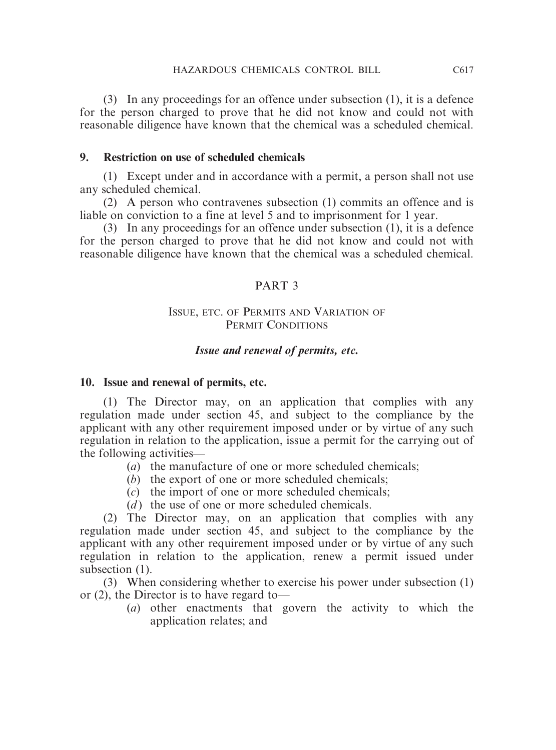(3) In any proceedings for an offence under subsection (1), it is a defence for the person charged to prove that he did not know and could not with reasonable diligence have known that the chemical was a scheduled chemical.

#### **9. Restriction on use of scheduled chemicals**

(1) Except under and in accordance with a permit, a person shall not use any scheduled chemical.

(2) A person who contravenes subsection (1) commits an offence and is liable on conviction to a fine at level 5 and to imprisonment for 1 year.

(3) In any proceedings for an offence under subsection (1), it is a defence for the person charged to prove that he did not know and could not with reasonable diligence have known that the chemical was a scheduled chemical.

#### PART 3

#### ISSUE, ETC. OF PERMITS AND VARIATION OF PERMIT CONDITIONS

#### *Issue and renewal of permits, etc.*

#### **10. Issue and renewal of permits, etc.**

(1) The Director may, on an application that complies with any regulation made under section 45, and subject to the compliance by the applicant with any other requirement imposed under or by virtue of any such regulation in relation to the application, issue a permit for the carrying out of the following activities—

- (*a*) the manufacture of one or more scheduled chemicals;
- (*b*) the export of one or more scheduled chemicals;
- (*c*) the import of one or more scheduled chemicals;
- (*d*) the use of one or more scheduled chemicals.

(2) The Director may, on an application that complies with any regulation made under section 45, and subject to the compliance by the applicant with any other requirement imposed under or by virtue of any such regulation in relation to the application, renew a permit issued under subsection  $(1)$ .

(3) When considering whether to exercise his power under subsection (1) or (2), the Director is to have regard to—

(*a*) other enactments that govern the activity to which the application relates; and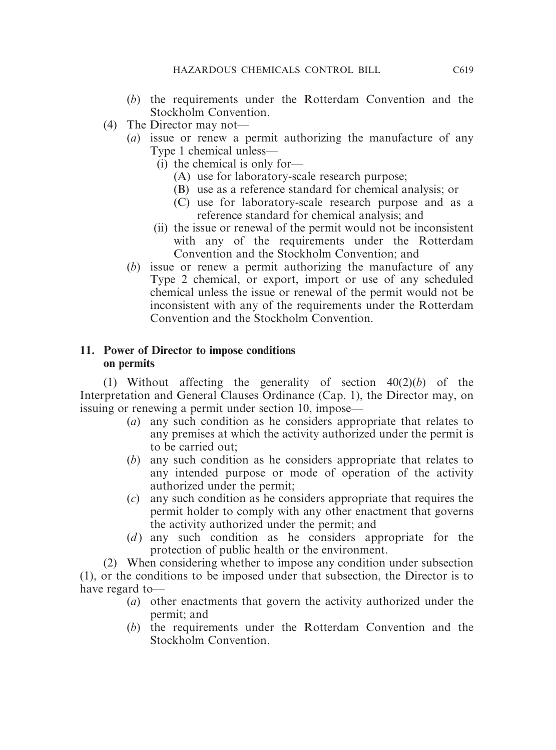- (*b*) the requirements under the Rotterdam Convention and the Stockholm Convention.
- (4) The Director may not—
	- (*a*) issue or renew a permit authorizing the manufacture of any Type 1 chemical unless—
		- (i) the chemical is only for—
			- (A) use for laboratory-scale research purpose;
			- (B) use as a reference standard for chemical analysis; or
			- (C) use for laboratory-scale research purpose and as a reference standard for chemical analysis; and
		- (ii) the issue or renewal of the permit would not be inconsistent with any of the requirements under the Rotterdam Convention and the Stockholm Convention; and
	- (*b*) issue or renew a permit authorizing the manufacture of any Type 2 chemical, or export, import or use of any scheduled chemical unless the issue or renewal of the permit would not be inconsistent with any of the requirements under the Rotterdam Convention and the Stockholm Convention.

# **11. Power of Director to impose conditions on permits**

(1) Without affecting the generality of section 40(2)(*b*) of the Interpretation and General Clauses Ordinance (Cap. 1), the Director may, on issuing or renewing a permit under section 10, impose—

- (*a*) any such condition as he considers appropriate that relates to any premises at which the activity authorized under the permit is to be carried out;
- (*b*) any such condition as he considers appropriate that relates to any intended purpose or mode of operation of the activity authorized under the permit;
- (*c*) any such condition as he considers appropriate that requires the permit holder to comply with any other enactment that governs the activity authorized under the permit; and
- (*d*) any such condition as he considers appropriate for the protection of public health or the environment.

(2) When considering whether to impose any condition under subsection (1), or the conditions to be imposed under that subsection, the Director is to have regard to—

- (*a*) other enactments that govern the activity authorized under the permit; and
- (*b*) the requirements under the Rotterdam Convention and the Stockholm Convention.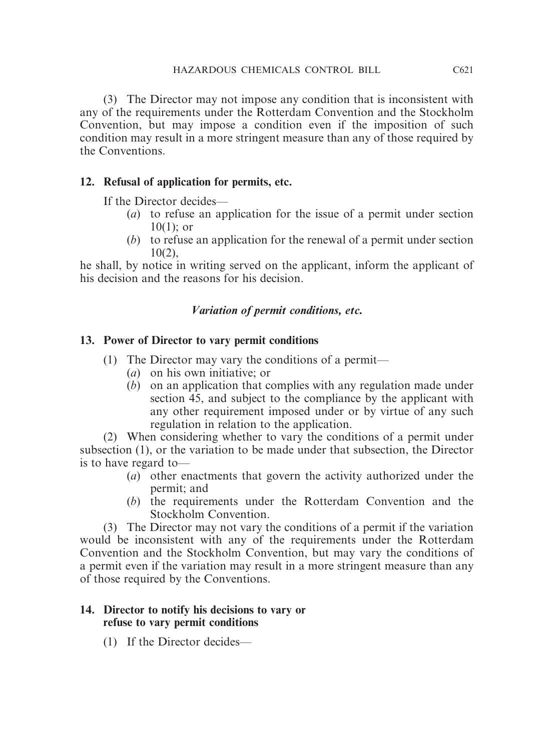(3) The Director may not impose any condition that is inconsistent with any of the requirements under the Rotterdam Convention and the Stockholm Convention, but may impose a condition even if the imposition of such condition may result in a more stringent measure than any of those required by the Conventions.

# **12. Refusal of application for permits, etc.**

If the Director decides—

- (*a*) to refuse an application for the issue of a permit under section 10(1); or
- (*b*) to refuse an application for the renewal of a permit under section 10(2),

he shall, by notice in writing served on the applicant, inform the applicant of his decision and the reasons for his decision.

# *Variation of permit conditions, etc.*

# **13. Power of Director to vary permit conditions**

- (1) The Director may vary the conditions of a permit—
	- (*a*) on his own initiative; or
	- (*b*) on an application that complies with any regulation made under section 45, and subject to the compliance by the applicant with any other requirement imposed under or by virtue of any such regulation in relation to the application.

(2) When considering whether to vary the conditions of a permit under subsection (1), or the variation to be made under that subsection, the Director is to have regard to—

- (*a*) other enactments that govern the activity authorized under the permit; and
- (*b*) the requirements under the Rotterdam Convention and the Stockholm Convention.

(3) The Director may not vary the conditions of a permit if the variation would be inconsistent with any of the requirements under the Rotterdam Convention and the Stockholm Convention, but may vary the conditions of a permit even if the variation may result in a more stringent measure than any of those required by the Conventions.

# **14. Director to notify his decisions to vary or refuse to vary permit conditions**

(1) If the Director decides—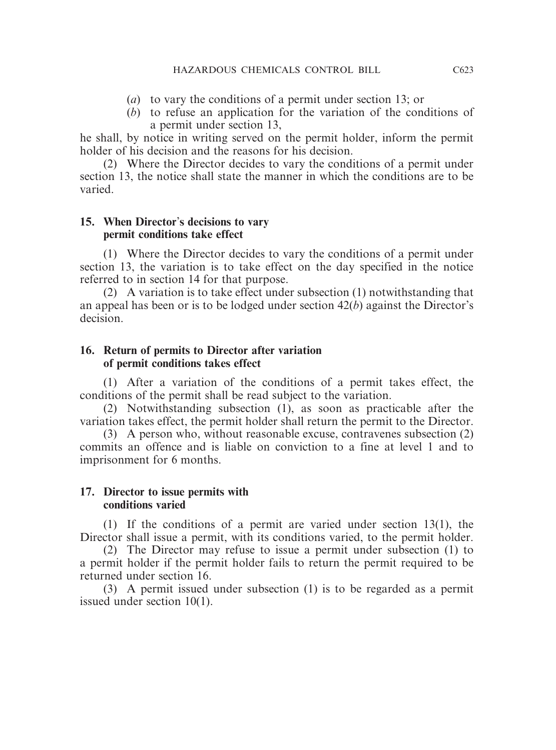- (*a*) to vary the conditions of a permit under section 13; or
- (*b*) to refuse an application for the variation of the conditions of a permit under section 13,

he shall, by notice in writing served on the permit holder, inform the permit holder of his decision and the reasons for his decision.

(2) Where the Director decides to vary the conditions of a permit under section 13, the notice shall state the manner in which the conditions are to be varied.

#### **15. When Director**'**s decisions to vary permit conditions take effect**

(1) Where the Director decides to vary the conditions of a permit under section 13, the variation is to take effect on the day specified in the notice referred to in section 14 for that purpose.

(2) A variation is to take effect under subsection (1) notwithstanding that an appeal has been or is to be lodged under section 42(*b*) against the Director's decision.

# **16. Return of permits to Director after variation of permit conditions takes effect**

(1) After a variation of the conditions of a permit takes effect, the conditions of the permit shall be read subject to the variation.

(2) Notwithstanding subsection (1), as soon as practicable after the variation takes effect, the permit holder shall return the permit to the Director.

(3) A person who, without reasonable excuse, contravenes subsection (2) commits an offence and is liable on conviction to a fine at level 1 and to imprisonment for 6 months.

#### **17. Director to issue permits with conditions varied**

(1) If the conditions of a permit are varied under section 13(1), the Director shall issue a permit, with its conditions varied, to the permit holder.

(2) The Director may refuse to issue a permit under subsection (1) to a permit holder if the permit holder fails to return the permit required to be returned under section 16.

(3) A permit issued under subsection (1) is to be regarded as a permit issued under section 10(1).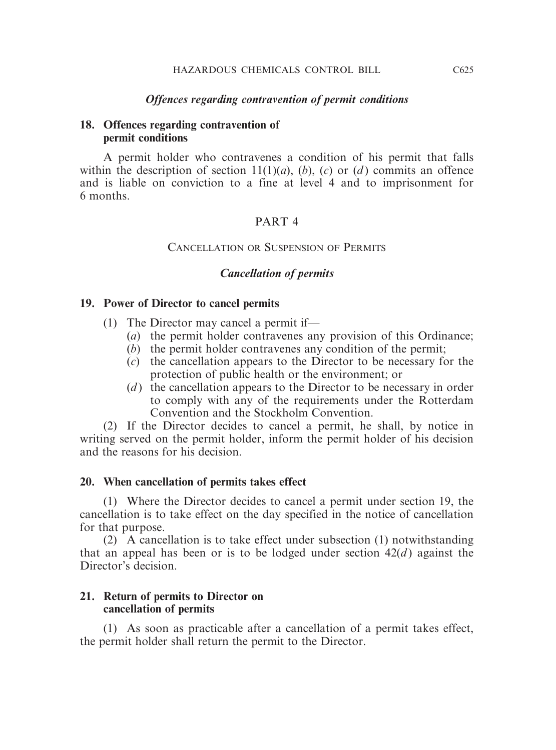#### *Offences regarding contravention of permit conditions*

#### **18. Offences regarding contravention of permit conditions**

A permit holder who contravenes a condition of his permit that falls within the description of section  $11(1)(a)$ ,  $(b)$ ,  $(c)$  or  $(d)$  commits an offence and is liable on conviction to a fine at level 4 and to imprisonment for 6 months.

#### PART 4

#### CANCELLATION OR SUSPENSION OF PERMITS

#### *Cancellation of permits*

#### **19. Power of Director to cancel permits**

- (1) The Director may cancel a permit if—
	- (*a*) the permit holder contravenes any provision of this Ordinance;
	- (*b*) the permit holder contravenes any condition of the permit;
	- (*c*) the cancellation appears to the Director to be necessary for the protection of public health or the environment; or
	- (*d*) the cancellation appears to the Director to be necessary in order to comply with any of the requirements under the Rotterdam Convention and the Stockholm Convention.

(2) If the Director decides to cancel a permit, he shall, by notice in writing served on the permit holder, inform the permit holder of his decision and the reasons for his decision.

#### **20. When cancellation of permits takes effect**

(1) Where the Director decides to cancel a permit under section 19, the cancellation is to take effect on the day specified in the notice of cancellation for that purpose.

(2) A cancellation is to take effect under subsection (1) notwithstanding that an appeal has been or is to be lodged under section  $42(d)$  against the Director's decision.

#### **21. Return of permits to Director on cancellation of permits**

(1) As soon as practicable after a cancellation of a permit takes effect, the permit holder shall return the permit to the Director.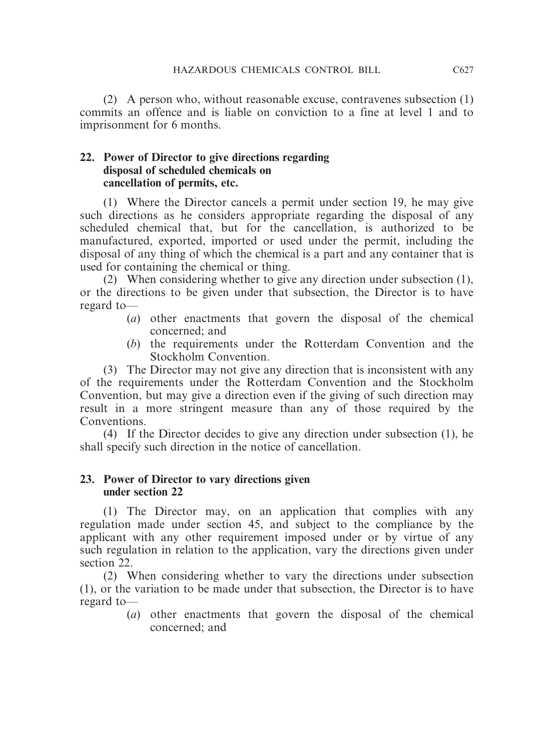(2) A person who, without reasonable excuse, contravenes subsection (1) commits an offence and is liable on conviction to a fine at level 1 and to imprisonment for 6 months.

# **22. Power of Director to give directions regarding disposal of scheduled chemicals on cancellation of permits, etc.**

(1) Where the Director cancels a permit under section 19, he may give such directions as he considers appropriate regarding the disposal of any scheduled chemical that, but for the cancellation, is authorized to be manufactured, exported, imported or used under the permit, including the disposal of any thing of which the chemical is a part and any container that is used for containing the chemical or thing.

(2) When considering whether to give any direction under subsection (1), or the directions to be given under that subsection, the Director is to have regard to—

- (*a*) other enactments that govern the disposal of the chemical concerned; and
- (*b*) the requirements under the Rotterdam Convention and the Stockholm Convention.

(3) The Director may not give any direction that is inconsistent with any of the requirements under the Rotterdam Convention and the Stockholm Convention, but may give a direction even if the giving of such direction may result in a more stringent measure than any of those required by the Conventions.

(4) If the Director decides to give any direction under subsection (1), he shall specify such direction in the notice of cancellation.

## **23. Power of Director to vary directions given under section 22**

(1) The Director may, on an application that complies with any regulation made under section 45, and subject to the compliance by the applicant with any other requirement imposed under or by virtue of any such regulation in relation to the application, vary the directions given under section 22.

(2) When considering whether to vary the directions under subsection (1), or the variation to be made under that subsection, the Director is to have regard to—

(*a*) other enactments that govern the disposal of the chemical concerned; and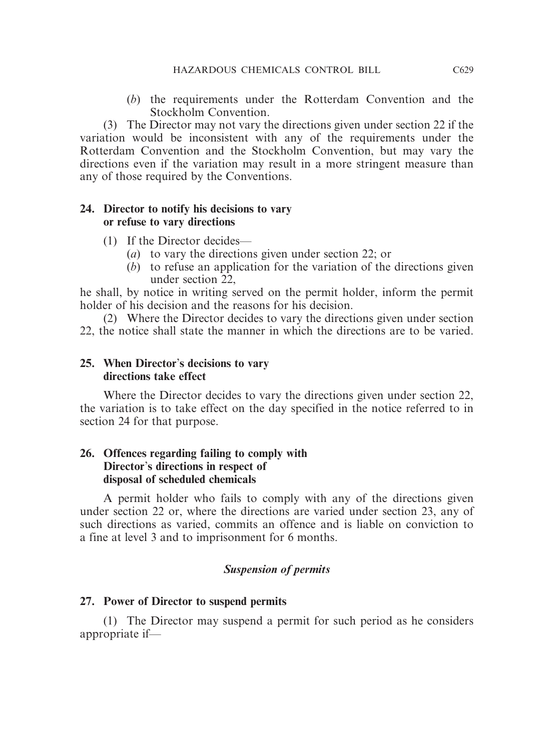(*b*) the requirements under the Rotterdam Convention and the Stockholm Convention.

(3) The Director may not vary the directions given under section 22 if the variation would be inconsistent with any of the requirements under the Rotterdam Convention and the Stockholm Convention, but may vary the directions even if the variation may result in a more stringent measure than any of those required by the Conventions.

#### **24. Director to notify his decisions to vary or refuse to vary directions**

- (1) If the Director decides—
	- (*a*) to vary the directions given under section 22; or
	- (*b*) to refuse an application for the variation of the directions given under section 22,

he shall, by notice in writing served on the permit holder, inform the permit holder of his decision and the reasons for his decision.

(2) Where the Director decides to vary the directions given under section 22, the notice shall state the manner in which the directions are to be varied.

#### **25. When Director**'**s decisions to vary directions take effect**

Where the Director decides to vary the directions given under section 22, the variation is to take effect on the day specified in the notice referred to in section 24 for that purpose.

#### **26. Offences regarding failing to comply with Director**'**s directions in respect of disposal of scheduled chemicals**

A permit holder who fails to comply with any of the directions given under section 22 or, where the directions are varied under section 23, any of such directions as varied, commits an offence and is liable on conviction to a fine at level 3 and to imprisonment for 6 months.

# *Suspension of permits*

# **27. Power of Director to suspend permits**

(1) The Director may suspend a permit for such period as he considers appropriate if—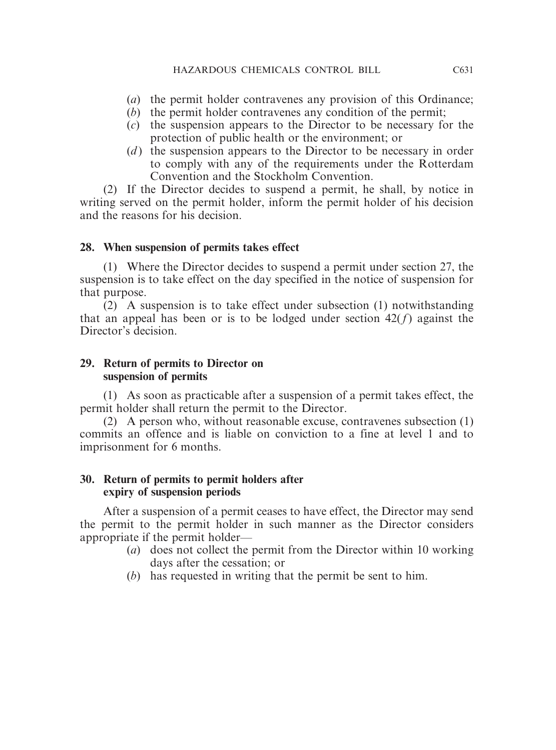- (*a*) the permit holder contravenes any provision of this Ordinance;
- (*b*) the permit holder contravenes any condition of the permit;
- (*c*) the suspension appears to the Director to be necessary for the protection of public health or the environment; or
- (*d*) the suspension appears to the Director to be necessary in order to comply with any of the requirements under the Rotterdam Convention and the Stockholm Convention.

(2) If the Director decides to suspend a permit, he shall, by notice in writing served on the permit holder, inform the permit holder of his decision and the reasons for his decision.

# **28. When suspension of permits takes effect**

(1) Where the Director decides to suspend a permit under section 27, the suspension is to take effect on the day specified in the notice of suspension for that purpose.

(2) A suspension is to take effect under subsection (1) notwithstanding that an appeal has been or is to be lodged under section  $42(f)$  against the Director's decision.

#### **29. Return of permits to Director on suspension of permits**

(1) As soon as practicable after a suspension of a permit takes effect, the permit holder shall return the permit to the Director.

(2) A person who, without reasonable excuse, contravenes subsection (1) commits an offence and is liable on conviction to a fine at level 1 and to imprisonment for 6 months.

## **30. Return of permits to permit holders after expiry of suspension periods**

After a suspension of a permit ceases to have effect, the Director may send the permit to the permit holder in such manner as the Director considers appropriate if the permit holder—

- (*a*) does not collect the permit from the Director within 10 working days after the cessation; or
- (*b*) has requested in writing that the permit be sent to him.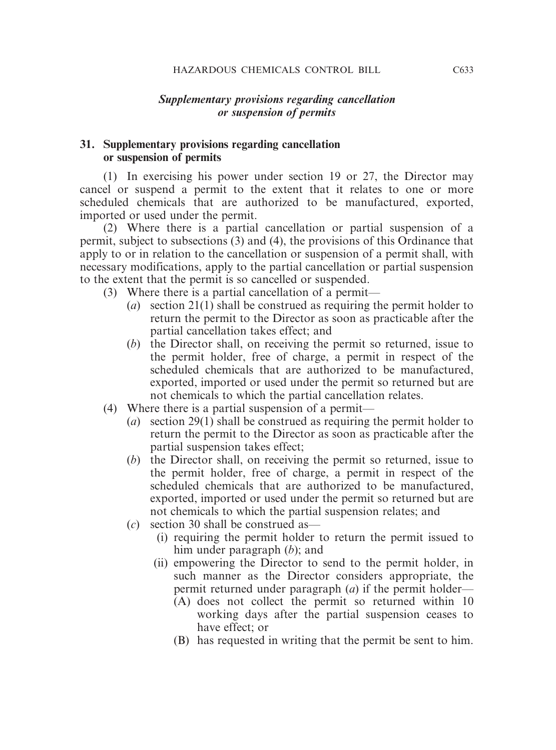#### *Supplementary provisions regarding cancellation or suspension of permits*

#### **31. Supplementary provisions regarding cancellation or suspension of permits**

(1) In exercising his power under section 19 or 27, the Director may cancel or suspend a permit to the extent that it relates to one or more scheduled chemicals that are authorized to be manufactured, exported, imported or used under the permit.

(2) Where there is a partial cancellation or partial suspension of a permit, subject to subsections (3) and (4), the provisions of this Ordinance that apply to or in relation to the cancellation or suspension of a permit shall, with necessary modifications, apply to the partial cancellation or partial suspension to the extent that the permit is so cancelled or suspended.

- (3) Where there is a partial cancellation of a permit—
	- (*a*) section 21(1) shall be construed as requiring the permit holder to return the permit to the Director as soon as practicable after the partial cancellation takes effect; and
	- (*b*) the Director shall, on receiving the permit so returned, issue to the permit holder, free of charge, a permit in respect of the scheduled chemicals that are authorized to be manufactured, exported, imported or used under the permit so returned but are not chemicals to which the partial cancellation relates.
- (4) Where there is a partial suspension of a permit—
	- (*a*) section 29(1) shall be construed as requiring the permit holder to return the permit to the Director as soon as practicable after the partial suspension takes effect;
	- (*b*) the Director shall, on receiving the permit so returned, issue to the permit holder, free of charge, a permit in respect of the scheduled chemicals that are authorized to be manufactured, exported, imported or used under the permit so returned but are not chemicals to which the partial suspension relates; and
	- (*c*) section 30 shall be construed as—
		- (i) requiring the permit holder to return the permit issued to him under paragraph (*b*); and
		- (ii) empowering the Director to send to the permit holder, in such manner as the Director considers appropriate, the permit returned under paragraph (*a*) if the permit holder—
			- (A) does not collect the permit so returned within 10 working days after the partial suspension ceases to have effect; or
			- (B) has requested in writing that the permit be sent to him.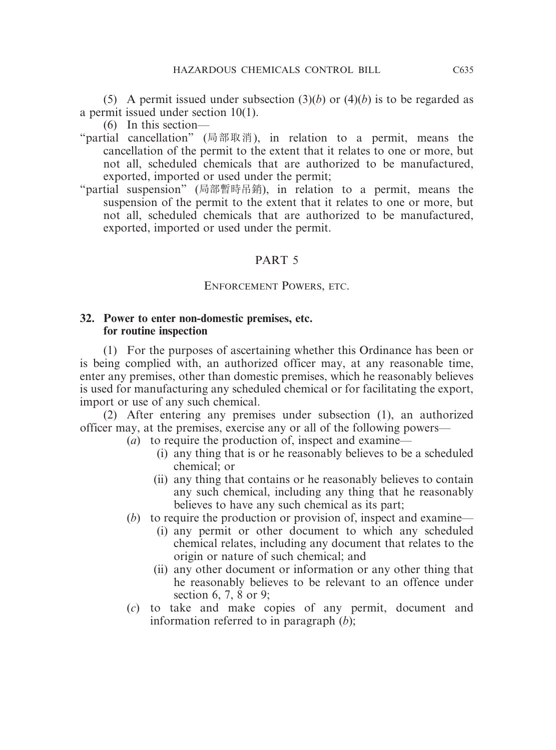(5) A permit issued under subsection (3)(*b*) or (4)(*b*) is to be regarded as a permit issued under section 10(1).

(6) In this section—

- "partial cancellation" (局部取消), in relation to a permit, means the cancellation of the permit to the extent that it relates to one or more, but not all, scheduled chemicals that are authorized to be manufactured, exported, imported or used under the permit;
- "partial suspension" (局部暫時吊銷), in relation to a permit, means the suspension of the permit to the extent that it relates to one or more, but not all, scheduled chemicals that are authorized to be manufactured, exported, imported or used under the permit.

## PART 5

#### ENFORCEMENT POWERS, ETC.

#### **32. Power to enter non-domestic premises, etc. for routine inspection**

(1) For the purposes of ascertaining whether this Ordinance has been or is being complied with, an authorized officer may, at any reasonable time, enter any premises, other than domestic premises, which he reasonably believes is used for manufacturing any scheduled chemical or for facilitating the export, import or use of any such chemical.

(2) After entering any premises under subsection (1), an authorized officer may, at the premises, exercise any or all of the following powers—

- (*a*) to require the production of, inspect and examine—
	- (i) any thing that is or he reasonably believes to be a scheduled chemical; or
	- (ii) any thing that contains or he reasonably believes to contain any such chemical, including any thing that he reasonably believes to have any such chemical as its part;
- (*b*) to require the production or provision of, inspect and examine—
	- (i) any permit or other document to which any scheduled chemical relates, including any document that relates to the origin or nature of such chemical; and
	- (ii) any other document or information or any other thing that he reasonably believes to be relevant to an offence under section 6, 7, 8 or 9;
- (*c*) to take and make copies of any permit, document and information referred to in paragraph (*b*);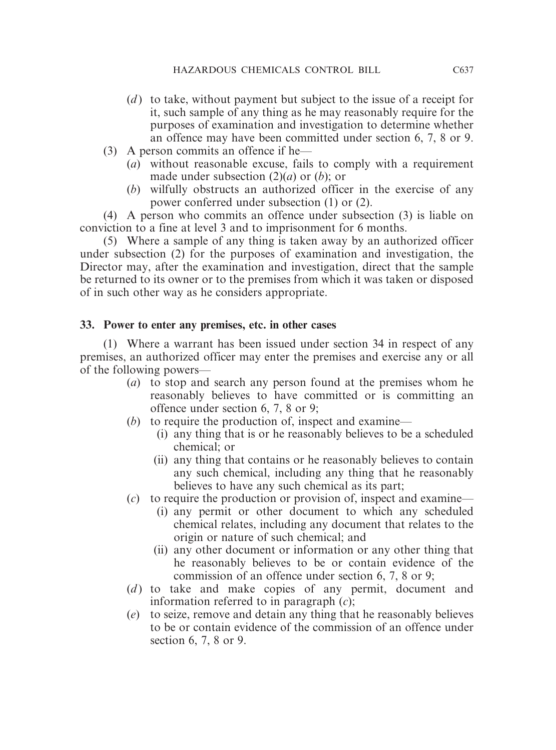- (*d*) to take, without payment but subject to the issue of a receipt for it, such sample of any thing as he may reasonably require for the purposes of examination and investigation to determine whether an offence may have been committed under section 6, 7, 8 or 9.
- (3) A person commits an offence if he—
	- (*a*) without reasonable excuse, fails to comply with a requirement made under subsection (2)(*a*) or (*b*); or
	- (*b*) wilfully obstructs an authorized officer in the exercise of any power conferred under subsection (1) or (2).

(4) A person who commits an offence under subsection (3) is liable on conviction to a fine at level 3 and to imprisonment for 6 months.

(5) Where a sample of any thing is taken away by an authorized officer under subsection (2) for the purposes of examination and investigation, the Director may, after the examination and investigation, direct that the sample be returned to its owner or to the premises from which it was taken or disposed of in such other way as he considers appropriate.

#### **33. Power to enter any premises, etc. in other cases**

(1) Where a warrant has been issued under section 34 in respect of any premises, an authorized officer may enter the premises and exercise any or all of the following powers—

- (*a*) to stop and search any person found at the premises whom he reasonably believes to have committed or is committing an offence under section 6, 7, 8 or 9;
- (*b*) to require the production of, inspect and examine—
	- (i) any thing that is or he reasonably believes to be a scheduled chemical; or
	- (ii) any thing that contains or he reasonably believes to contain any such chemical, including any thing that he reasonably believes to have any such chemical as its part;
- (*c*) to require the production or provision of, inspect and examine—
	- (i) any permit or other document to which any scheduled chemical relates, including any document that relates to the origin or nature of such chemical; and
	- (ii) any other document or information or any other thing that he reasonably believes to be or contain evidence of the commission of an offence under section 6, 7, 8 or 9;
- (*d*) to take and make copies of any permit, document and information referred to in paragraph (*c*);
- (*e*) to seize, remove and detain any thing that he reasonably believes to be or contain evidence of the commission of an offence under section 6, 7, 8 or 9.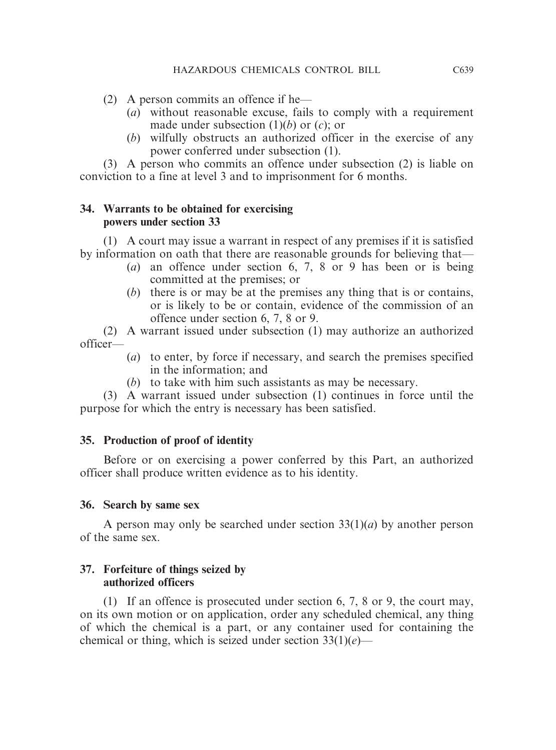- (2) A person commits an offence if he—
	- (*a*) without reasonable excuse, fails to comply with a requirement made under subsection (1)(*b*) or (*c*); or
	- (*b*) wilfully obstructs an authorized officer in the exercise of any power conferred under subsection (1).

(3) A person who commits an offence under subsection (2) is liable on conviction to a fine at level 3 and to imprisonment for 6 months.

# **34. Warrants to be obtained for exercising powers under section 33**

(1) A court may issue a warrant in respect of any premises if it is satisfied by information on oath that there are reasonable grounds for believing that—

- (*a*) an offence under section 6, 7, 8 or 9 has been or is being committed at the premises; or
- (*b*) there is or may be at the premises any thing that is or contains, or is likely to be or contain, evidence of the commission of an offence under section 6, 7, 8 or 9.

(2) A warrant issued under subsection (1) may authorize an authorized officer—

- (*a*) to enter, by force if necessary, and search the premises specified in the information; and
- (*b*) to take with him such assistants as may be necessary.

(3) A warrant issued under subsection (1) continues in force until the purpose for which the entry is necessary has been satisfied.

# **35. Production of proof of identity**

Before or on exercising a power conferred by this Part, an authorized officer shall produce written evidence as to his identity.

# **36. Search by same sex**

A person may only be searched under section 33(1)(*a*) by another person of the same sex.

# **37. Forfeiture of things seized by authorized officers**

(1) If an offence is prosecuted under section 6, 7, 8 or 9, the court may, on its own motion or on application, order any scheduled chemical, any thing of which the chemical is a part, or any container used for containing the chemical or thing, which is seized under section 33(1)(*e*)—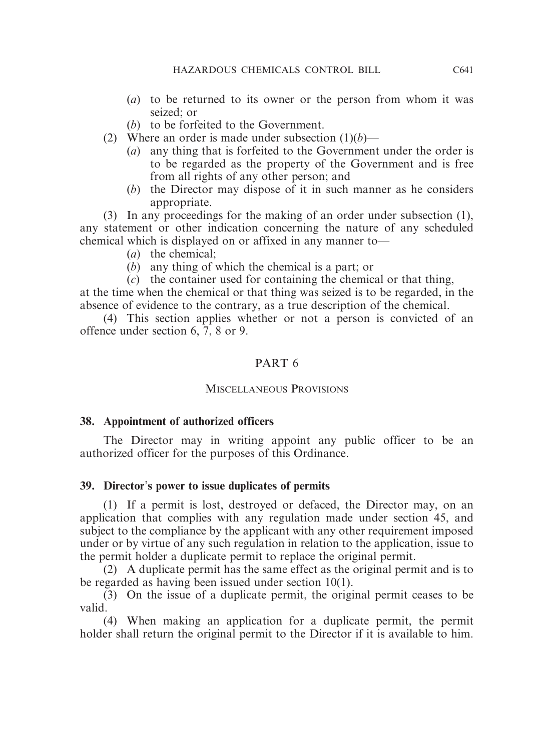- (*a*) to be returned to its owner or the person from whom it was seized; or
- (*b*) to be forfeited to the Government.
- (2) Where an order is made under subsection  $(1)(b)$ 
	- (*a*) any thing that is forfeited to the Government under the order is to be regarded as the property of the Government and is free from all rights of any other person; and
	- (*b*) the Director may dispose of it in such manner as he considers appropriate.

(3) In any proceedings for the making of an order under subsection (1), any statement or other indication concerning the nature of any scheduled chemical which is displayed on or affixed in any manner to—

- (*a*) the chemical;
- (*b*) any thing of which the chemical is a part; or

(*c*) the container used for containing the chemical or that thing, at the time when the chemical or that thing was seized is to be regarded, in the

absence of evidence to the contrary, as a true description of the chemical.

(4) This section applies whether or not a person is convicted of an offence under section 6, 7, 8 or 9.

# PART 6

#### MISCELLANEOUS PROVISIONS

#### **38. Appointment of authorized officers**

The Director may in writing appoint any public officer to be an authorized officer for the purposes of this Ordinance.

#### **39. Director**'**s power to issue duplicates of permits**

(1) If a permit is lost, destroyed or defaced, the Director may, on an application that complies with any regulation made under section 45, and subject to the compliance by the applicant with any other requirement imposed under or by virtue of any such regulation in relation to the application, issue to the permit holder a duplicate permit to replace the original permit.

(2) A duplicate permit has the same effect as the original permit and is to be regarded as having been issued under section 10(1).

(3) On the issue of a duplicate permit, the original permit ceases to be valid.

(4) When making an application for a duplicate permit, the permit holder shall return the original permit to the Director if it is available to him.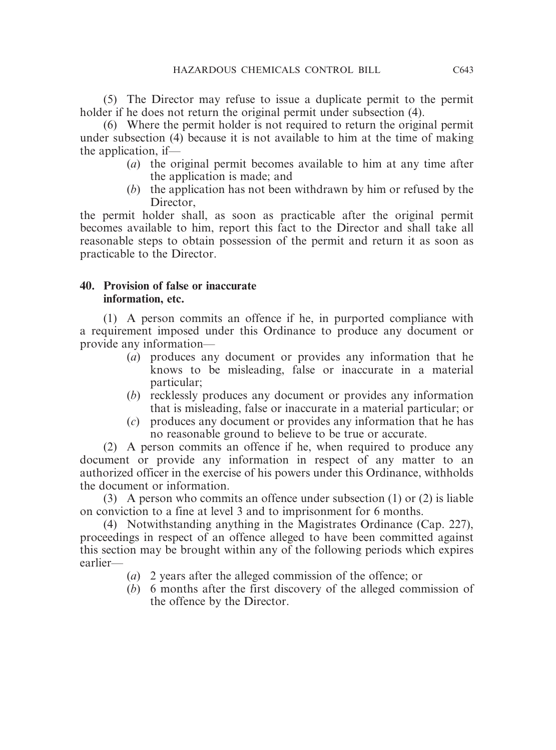(5) The Director may refuse to issue a duplicate permit to the permit holder if he does not return the original permit under subsection (4).

(6) Where the permit holder is not required to return the original permit under subsection (4) because it is not available to him at the time of making the application, if—

- (*a*) the original permit becomes available to him at any time after the application is made; and
- (*b*) the application has not been withdrawn by him or refused by the Director.

the permit holder shall, as soon as practicable after the original permit becomes available to him, report this fact to the Director and shall take all reasonable steps to obtain possession of the permit and return it as soon as practicable to the Director.

# **40. Provision of false or inaccurate information, etc.**

(1) A person commits an offence if he, in purported compliance with a requirement imposed under this Ordinance to produce any document or provide any information—

- (*a*) produces any document or provides any information that he knows to be misleading, false or inaccurate in a material particular;
- (*b*) recklessly produces any document or provides any information that is misleading, false or inaccurate in a material particular; or
- (*c*) produces any document or provides any information that he has no reasonable ground to believe to be true or accurate.

(2) A person commits an offence if he, when required to produce any document or provide any information in respect of any matter to an authorized officer in the exercise of his powers under this Ordinance, withholds the document or information.

(3) A person who commits an offence under subsection (1) or (2) is liable on conviction to a fine at level 3 and to imprisonment for 6 months.

(4) Notwithstanding anything in the Magistrates Ordinance (Cap. 227), proceedings in respect of an offence alleged to have been committed against this section may be brought within any of the following periods which expires earlier—

- (*a*) 2 years after the alleged commission of the offence; or
- (*b*) 6 months after the first discovery of the alleged commission of the offence by the Director.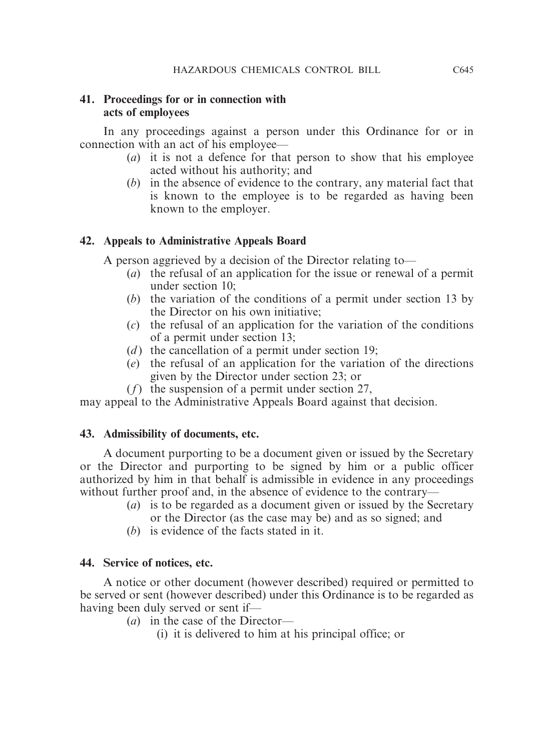# **41. Proceedings for or in connection with acts of employees**

In any proceedings against a person under this Ordinance for or in connection with an act of his employee—

- (*a*) it is not a defence for that person to show that his employee acted without his authority; and
- (*b*) in the absence of evidence to the contrary, any material fact that is known to the employee is to be regarded as having been known to the employer.

# **42. Appeals to Administrative Appeals Board**

A person aggrieved by a decision of the Director relating to—

- (*a*) the refusal of an application for the issue or renewal of a permit under section 10;
- (*b*) the variation of the conditions of a permit under section 13 by the Director on his own initiative;
- (*c*) the refusal of an application for the variation of the conditions of a permit under section 13;
- (*d*) the cancellation of a permit under section 19;
- (*e*) the refusal of an application for the variation of the directions given by the Director under section 23; or
- (*f*) the suspension of a permit under section 27,

may appeal to the Administrative Appeals Board against that decision.

# **43. Admissibility of documents, etc.**

A document purporting to be a document given or issued by the Secretary or the Director and purporting to be signed by him or a public officer authorized by him in that behalf is admissible in evidence in any proceedings without further proof and, in the absence of evidence to the contrary—

- (*a*) is to be regarded as a document given or issued by the Secretary or the Director (as the case may be) and as so signed; and
- (*b*) is evidence of the facts stated in it.

# **44. Service of notices, etc.**

A notice or other document (however described) required or permitted to be served or sent (however described) under this Ordinance is to be regarded as having been duly served or sent if—

(*a*) in the case of the Director—

(i) it is delivered to him at his principal office; or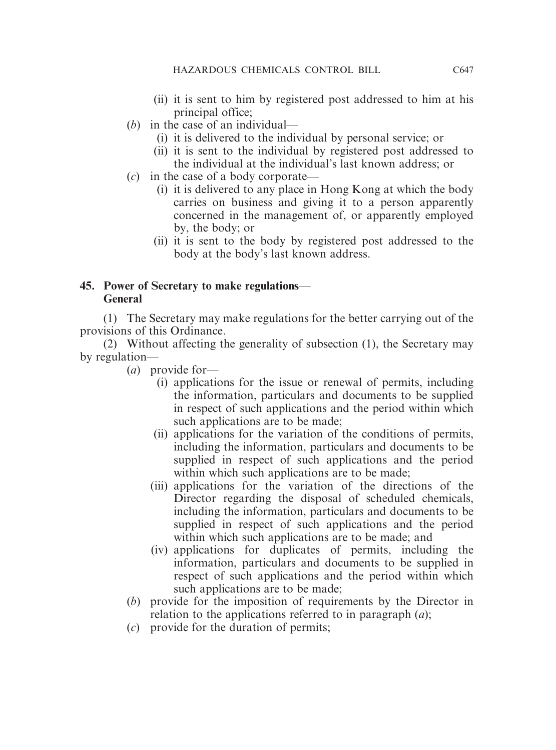- (ii) it is sent to him by registered post addressed to him at his principal office;
- (*b*) in the case of an individual—
	- (i) it is delivered to the individual by personal service; or
	- (ii) it is sent to the individual by registered post addressed to the individual at the individual's last known address; or
- (*c*) in the case of a body corporate—
	- (i) it is delivered to any place in Hong Kong at which the body carries on business and giving it to a person apparently concerned in the management of, or apparently employed by, the body; or
	- (ii) it is sent to the body by registered post addressed to the body at the body's last known address.

# **45. Power of Secretary to make regulations**— **General**

(1) The Secretary may make regulations for the better carrying out of the provisions of this Ordinance.

(2) Without affecting the generality of subsection (1), the Secretary may by regulation—

- (*a*) provide for—
	- (i) applications for the issue or renewal of permits, including the information, particulars and documents to be supplied in respect of such applications and the period within which such applications are to be made;
	- (ii) applications for the variation of the conditions of permits, including the information, particulars and documents to be supplied in respect of such applications and the period within which such applications are to be made;
	- (iii) applications for the variation of the directions of the Director regarding the disposal of scheduled chemicals, including the information, particulars and documents to be supplied in respect of such applications and the period within which such applications are to be made; and
	- (iv) applications for duplicates of permits, including the information, particulars and documents to be supplied in respect of such applications and the period within which such applications are to be made;
- (*b*) provide for the imposition of requirements by the Director in relation to the applications referred to in paragraph (*a*);
- (*c*) provide for the duration of permits;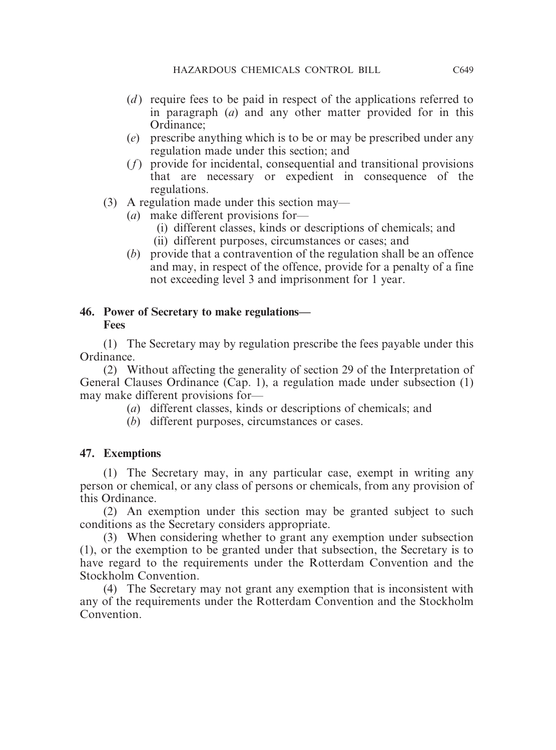- (*d*) require fees to be paid in respect of the applications referred to in paragraph (*a*) and any other matter provided for in this Ordinance;
- (*e*) prescribe anything which is to be or may be prescribed under any regulation made under this section; and
- (*f*) provide for incidental, consequential and transitional provisions that are necessary or expedient in consequence of the regulations.
- (3) A regulation made under this section may—
	- (*a*) make different provisions for—
		- (i) different classes, kinds or descriptions of chemicals; and
		- (ii) different purposes, circumstances or cases; and
	- (*b*) provide that a contravention of the regulation shall be an offence and may, in respect of the offence, provide for a penalty of a fine not exceeding level 3 and imprisonment for 1 year.

# **46. Power of Secretary to make regulations— Fees**

(1) The Secretary may by regulation prescribe the fees payable under this Ordinance.

(2) Without affecting the generality of section 29 of the Interpretation of General Clauses Ordinance (Cap. 1), a regulation made under subsection (1) may make different provisions for—

- (*a*) different classes, kinds or descriptions of chemicals; and
- (*b*) different purposes, circumstances or cases.

# **47. Exemptions**

(1) The Secretary may, in any particular case, exempt in writing any person or chemical, or any class of persons or chemicals, from any provision of this Ordinance.

(2) An exemption under this section may be granted subject to such conditions as the Secretary considers appropriate.

(3) When considering whether to grant any exemption under subsection (1), or the exemption to be granted under that subsection, the Secretary is to have regard to the requirements under the Rotterdam Convention and the Stockholm Convention.

(4) The Secretary may not grant any exemption that is inconsistent with any of the requirements under the Rotterdam Convention and the Stockholm **Convention**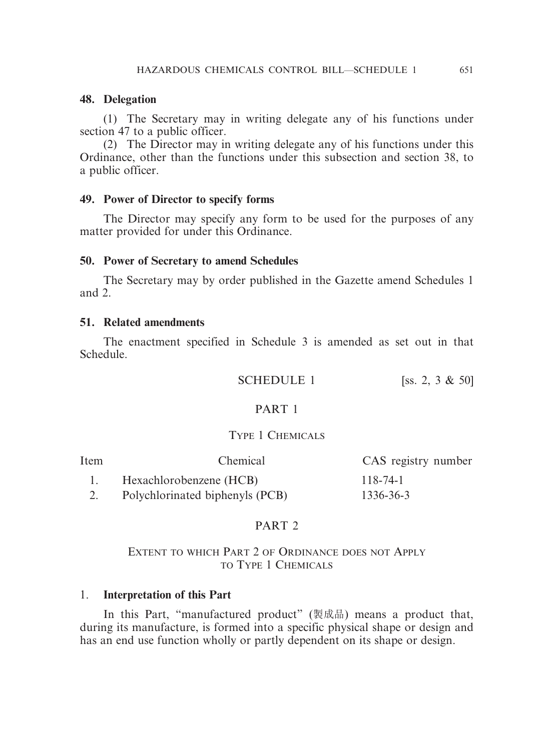#### **48. Delegation**

(1) The Secretary may in writing delegate any of his functions under section 47 to a public officer.

(2) The Director may in writing delegate any of his functions under this Ordinance, other than the functions under this subsection and section 38, to a public officer.

#### **49. Power of Director to specify forms**

The Director may specify any form to be used for the purposes of any matter provided for under this Ordinance.

#### **50. Power of Secretary to amend Schedules**

The Secretary may by order published in the Gazette amend Schedules 1 and 2.

#### **51. Related amendments**

The enactment specified in Schedule 3 is amended as set out in that Schedule.

**SCHEDULE** 1 [ss. 2, 3  $\&$  50]

#### PART 1

#### TYPE 1 CHEMICALS

| Item | Chemical                        | CAS registry number |
|------|---------------------------------|---------------------|
|      | Hexachlorobenzene (HCB)         | 118-74-1            |
|      | Polychlorinated biphenyls (PCB) | 1336-36-3           |

#### PART 2

#### EXTENT TO WHICH PART 2 OF ORDINANCE DOES NOT APPLY TO TYPE 1 CHEMICALS

#### 1. **Interpretation of this Part**

In this Part, "manufactured product" (製成品) means a product that, during its manufacture, is formed into a specific physical shape or design and has an end use function wholly or partly dependent on its shape or design.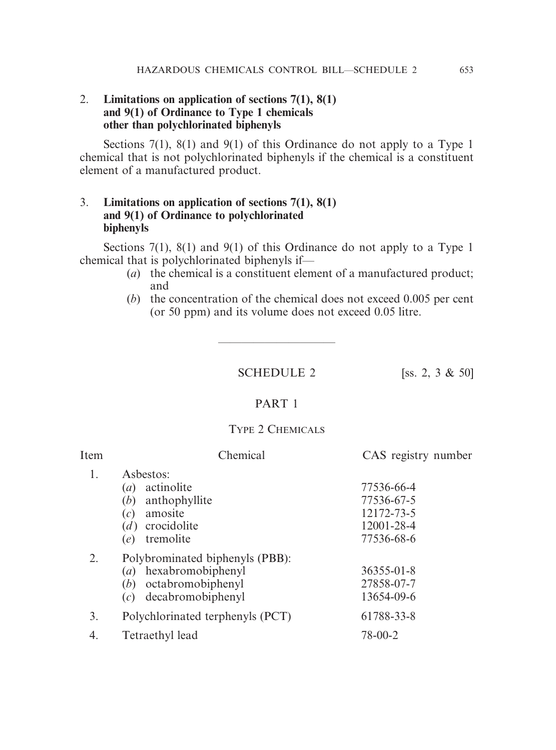#### 2. **Limitations on application of sections 7(1), 8(1) and 9(1) of Ordinance to Type 1 chemicals other than polychlorinated biphenyls**

Sections 7(1), 8(1) and 9(1) of this Ordinance do not apply to a Type 1 chemical that is not polychlorinated biphenyls if the chemical is a constituent element of a manufactured product.

#### 3. **Limitations on application of sections 7(1), 8(1) and 9(1) of Ordinance to polychlorinated biphenyls**

Sections 7(1), 8(1) and 9(1) of this Ordinance do not apply to a Type 1 chemical that is polychlorinated biphenyls if—

- (*a*) the chemical is a constituent element of a manufactured product; and
- (*b*) the concentration of the chemical does not exceed 0.005 per cent (or 50 ppm) and its volume does not exceed 0.05 litre.

SCHEDULE 2 [ss. 2, 3 & 50]

————————————————————

#### PART 1

#### TYPE 2 CHEMICALS

| Item | Chemical                                                                                                                        | CAS registry number                                                |
|------|---------------------------------------------------------------------------------------------------------------------------------|--------------------------------------------------------------------|
| 1.   | Asbestos:<br>actinolite<br>$\left(a\right)$<br>anthophyllite<br>(b)<br>amosite<br>(c)<br>crocidolite<br>(d)<br>tremolite<br>(e) | 77536-66-4<br>77536-67-5<br>12172-73-5<br>12001-28-4<br>77536-68-6 |
| 2.   | Polybrominated biphenyls (PBB):<br>hexabromobiphenyl<br>(a)<br>octabromobiphenyl<br>(b)<br>decabromobiphenyl<br>(c)             | $36355 - 01 - 8$<br>27858-07-7<br>13654-09-6                       |
| 3.   | Polychlorinated terphenyls (PCT)                                                                                                | 61788-33-8                                                         |
| 4.   | Tetraethyl lead                                                                                                                 | $78 - 00 - 2$                                                      |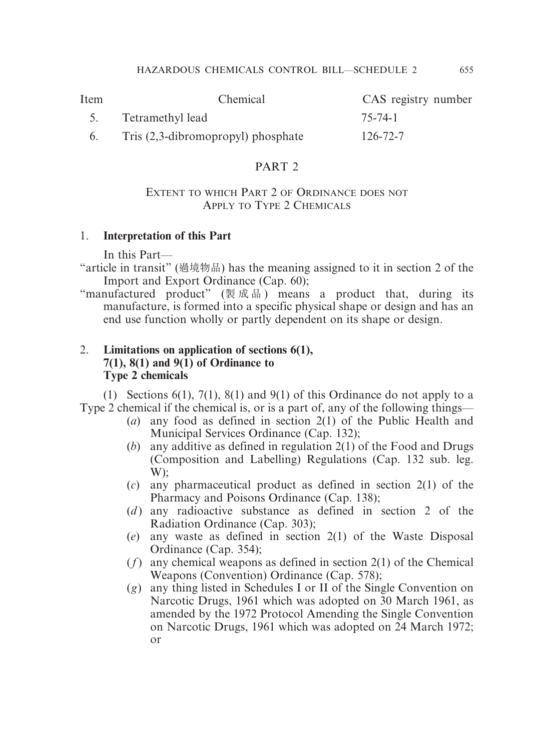| Item | Chemical                              | CAS registry number |
|------|---------------------------------------|---------------------|
|      | 5. Tetramethyl lead                   | 75-74-1             |
|      | Tris $(2,3$ -dibromopropyl) phosphate | $126 - 72 - 7$      |

## PART 2

#### EXTENT TO WHICH PART 2 OF ORDINANCE DOES NOT APPLY TO TYPE 2 CHEMICALS

## 1. **Interpretation of this Part**

In this Part—

"article in transit" (過境物品) has the meaning assigned to it in section 2 of the Import and Export Ordinance (Cap. 60);

"manufactured product" (製成品 ) means a product that, during its manufacture, is formed into a specific physical shape or design and has an end use function wholly or partly dependent on its shape or design.

# 2. **Limitations on application of sections 6(1), 7(1), 8(1) and 9(1) of Ordinance to Type 2 chemicals**

(1) Sections 6(1), 7(1), 8(1) and 9(1) of this Ordinance do not apply to a Type 2 chemical if the chemical is, or is a part of, any of the following things—

- (*a*) any food as defined in section 2(1) of the Public Health and Municipal Services Ordinance (Cap. 132);
- (*b*) any additive as defined in regulation 2(1) of the Food and Drugs (Composition and Labelling) Regulations (Cap. 132 sub. leg. W);
- (*c*) any pharmaceutical product as defined in section 2(1) of the Pharmacy and Poisons Ordinance (Cap. 138);
- (*d*) any radioactive substance as defined in section 2 of the Radiation Ordinance (Cap. 303);
- (*e*) any waste as defined in section 2(1) of the Waste Disposal Ordinance (Cap. 354);
- (*f*) any chemical weapons as defined in section 2(1) of the Chemical Weapons (Convention) Ordinance (Cap. 578);
- (*g*) any thing listed in Schedules I or II of the Single Convention on Narcotic Drugs, 1961 which was adopted on 30 March 1961, as amended by the 1972 Protocol Amending the Single Convention on Narcotic Drugs, 1961 which was adopted on 24 March 1972; or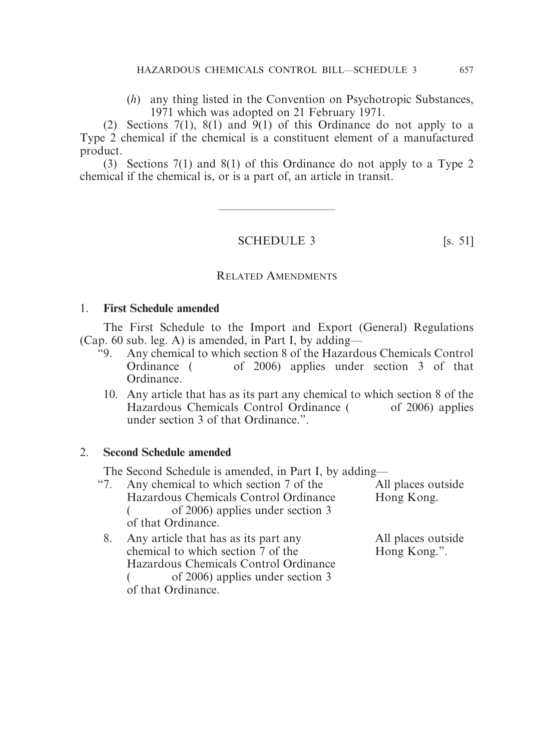(*h*) any thing listed in the Convention on Psychotropic Substances, 1971 which was adopted on 21 February 1971.

(2) Sections 7(1), 8(1) and 9(1) of this Ordinance do not apply to a Type 2 chemical if the chemical is a constituent element of a manufactured product.

(3) Sections 7(1) and 8(1) of this Ordinance do not apply to a Type 2 chemical if the chemical is, or is a part of, an article in transit.

SCHEDULE 3 [s. 51]

————————————————————

#### RELATED AMENDMENTS

#### 1. **First Schedule amended**

The First Schedule to the Import and Export (General) Regulations (Cap. 60 sub. leg. A) is amended, in Part I, by adding—

- "9. Any chemical to which section 8 of the Hazardous Chemicals Control Ordinance ( of 2006) applies under section 3 of that Ordinance.
	- 10. Any article that has as its part any chemical to which section 8 of the Hazardous Chemicals Control Ordinance ( of 2006) applies under section 3 of that Ordinance.".

#### 2. **Second Schedule amended**

The Second Schedule is amended, in Part I, by adding—

| Any chemical to which section 7 of the | All places outside |
|----------------------------------------|--------------------|
| Hazardous Chemicals Control Ordinance  | Hong Kong.         |
| of 2006) applies under section 3       |                    |
| of that Ordinance.                     |                    |
| Any article that has as its part any   | All places outside |
| chemical to which section 7 of the     | Hong Kong.".       |
| Hazardous Chemicals Control Ordinance  |                    |
| of 2006) applies under section 3       |                    |
| of that Ordinance.                     |                    |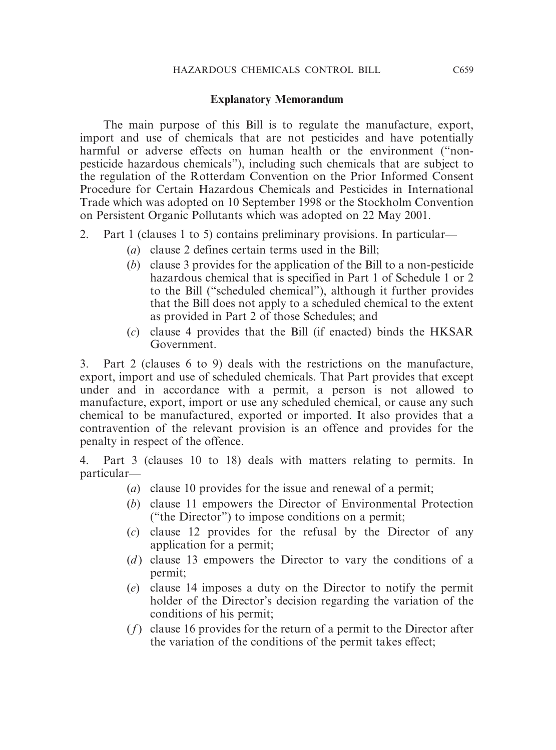#### **Explanatory Memorandum**

The main purpose of this Bill is to regulate the manufacture, export, import and use of chemicals that are not pesticides and have potentially harmful or adverse effects on human health or the environment ("nonpesticide hazardous chemicals"), including such chemicals that are subject to the regulation of the Rotterdam Convention on the Prior Informed Consent Procedure for Certain Hazardous Chemicals and Pesticides in International Trade which was adopted on 10 September 1998 or the Stockholm Convention on Persistent Organic Pollutants which was adopted on 22 May 2001.

- 2. Part 1 (clauses 1 to 5) contains preliminary provisions. In particular—
	- (*a*) clause 2 defines certain terms used in the Bill;
	- (*b*) clause 3 provides for the application of the Bill to a non-pesticide hazardous chemical that is specified in Part 1 of Schedule 1 or 2 to the Bill ("scheduled chemical"), although it further provides that the Bill does not apply to a scheduled chemical to the extent as provided in Part 2 of those Schedules; and
	- (*c*) clause 4 provides that the Bill (if enacted) binds the HKSAR Government.

3. Part 2 (clauses 6 to 9) deals with the restrictions on the manufacture, export, import and use of scheduled chemicals. That Part provides that except under and in accordance with a permit, a person is not allowed to manufacture, export, import or use any scheduled chemical, or cause any such chemical to be manufactured, exported or imported. It also provides that a contravention of the relevant provision is an offence and provides for the penalty in respect of the offence.

4. Part 3 (clauses 10 to 18) deals with matters relating to permits. In particular—

- (*a*) clause 10 provides for the issue and renewal of a permit;
- (*b*) clause 11 empowers the Director of Environmental Protection ("the Director") to impose conditions on a permit;
- (*c*) clause 12 provides for the refusal by the Director of any application for a permit;
- (*d*) clause 13 empowers the Director to vary the conditions of a permit;
- (*e*) clause 14 imposes a duty on the Director to notify the permit holder of the Director's decision regarding the variation of the conditions of his permit;
- (*f*) clause 16 provides for the return of a permit to the Director after the variation of the conditions of the permit takes effect;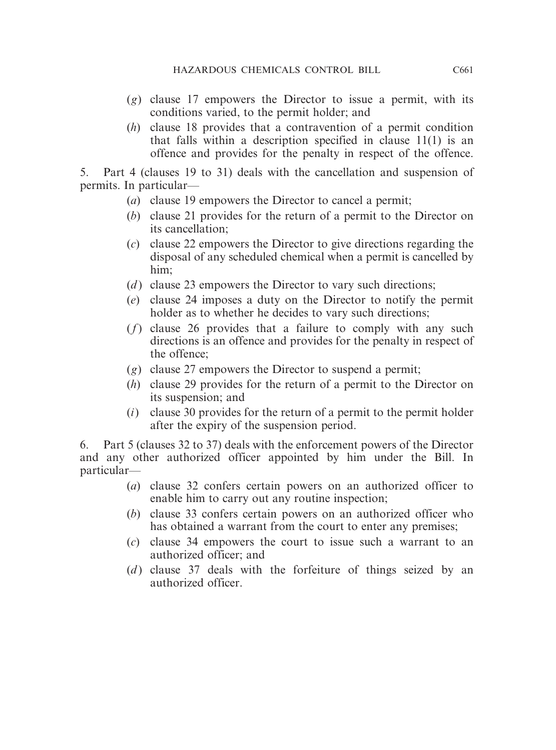- (*g*) clause 17 empowers the Director to issue a permit, with its conditions varied, to the permit holder; and
- (*h*) clause 18 provides that a contravention of a permit condition that falls within a description specified in clause 11(1) is an offence and provides for the penalty in respect of the offence.

5. Part 4 (clauses 19 to 31) deals with the cancellation and suspension of permits. In particular—

- (*a*) clause 19 empowers the Director to cancel a permit;
- (*b*) clause 21 provides for the return of a permit to the Director on its cancellation;
- (*c*) clause 22 empowers the Director to give directions regarding the disposal of any scheduled chemical when a permit is cancelled by him;
- (*d*) clause 23 empowers the Director to vary such directions;
- (*e*) clause 24 imposes a duty on the Director to notify the permit holder as to whether he decides to vary such directions;
- (*f*) clause 26 provides that a failure to comply with any such directions is an offence and provides for the penalty in respect of the offence;
- (*g*) clause 27 empowers the Director to suspend a permit;
- (*h*) clause 29 provides for the return of a permit to the Director on its suspension; and
- (*i*) clause 30 provides for the return of a permit to the permit holder after the expiry of the suspension period.

6. Part 5 (clauses 32 to 37) deals with the enforcement powers of the Director and any other authorized officer appointed by him under the Bill. In particular—

- (*a*) clause 32 confers certain powers on an authorized officer to enable him to carry out any routine inspection;
- (*b*) clause 33 confers certain powers on an authorized officer who has obtained a warrant from the court to enter any premises;
- (*c*) clause 34 empowers the court to issue such a warrant to an authorized officer; and
- (*d*) clause 37 deals with the forfeiture of things seized by an authorized officer.